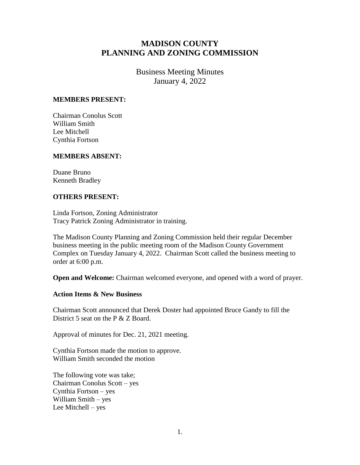# **MADISON COUNTY PLANNING AND ZONING COMMISSION**

Business Meeting Minutes January 4, 2022

#### **MEMBERS PRESENT:**

Chairman Conolus Scott William Smith Lee Mitchell Cynthia Fortson

## **MEMBERS ABSENT:**

Duane Bruno Kenneth Bradley

## **OTHERS PRESENT:**

Linda Fortson, Zoning Administrator Tracy Patrick Zoning Administrator in training.

The Madison County Planning and Zoning Commission held their regular December business meeting in the public meeting room of the Madison County Government Complex on Tuesday January 4, 2022. Chairman Scott called the business meeting to order at 6:00 p.m.

**Open and Welcome:** Chairman welcomed everyone, and opened with a word of prayer.

#### **Action Items & New Business**

Chairman Scott announced that Derek Doster had appointed Bruce Gandy to fill the District 5 seat on the P & Z Board.

Approval of minutes for Dec. 21, 2021 meeting.

Cynthia Fortson made the motion to approve. William Smith seconded the motion

The following vote was take; Chairman Conolus Scott – yes Cynthia Fortson – yes William Smith – yes Lee Mitchell – yes